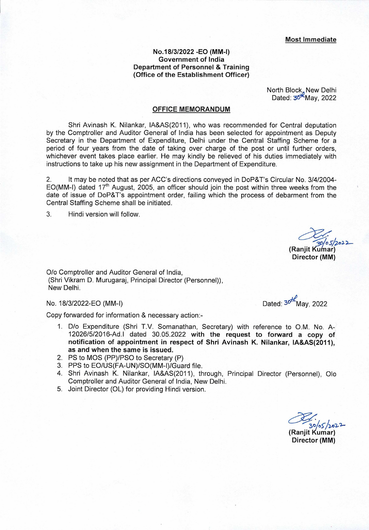## **No.18/3/2022 -EQ (MM-I) Government of India Department of Personnel** & **Training (Office of the Establishment Officer)**

North Block, New Delhi Dated:  $30^{1k}$ May, 2022

## **OFFICE MEMORANDUM**

Shri Avinash K. Nilankar, IA&AS(2011), who was recommended for Central deputation by the Comptroller and Auditor General of India has been selected for appointment as Deputy Secretary in the Department of Expenditure, Delhi under the Central Staffing Scheme for a period of four years from the date of taking over charge of the post or until further orders, whichever event takes place earlier. He may kindly be relieved of his duties immediately with instructions to take up his new assignment in the Department of Expenditure.

2. It may be noted that as per ACC's directions conveyed in DoP&T's Circular No. 3/4/2004- EO(MM-I) dated  $17<sup>th</sup>$  August, 2005, an officer should join the post within three weeks from the date of issue of DoP&T's appointment order, failing which the process of debarment from the Central Staffing Scheme shall be initiated.

3. Hindi version will follow.

0/0 Comptroller and Auditor General of India, (Shri Vikram D. Murugaraj, Principal Director (Personnel)), New Delhi.

Copy forwarded for information & necessary action:-

- 1. D/o Expenditure (Shri TV. Somanathan, Secretary) with reference to 0.M. No. A-12026/5/2016-Ad.I dated 30.05.2022 **with the request to forward a copy of notification of appointment in respect of Shri Avinash K. Nilankar, IA&AS(2011), as and when the same is issued.**
- 2. PS to MOS (PP)/PSO to Secretary (P)
- 3. PPS to EO/US(FA-UN)/SO(MM-l)/Guard file.
- 4. Shri Avinash K. Nilankar, lA&AS(2011), through, Principal Director (Personnel), Olo Comptroller and Auditor General of India, New Delhi.
- 5. Joint Director (DL) for providing Hindi version.

No. 18/3/2022-EO (MM-I) Dated:  $30^{1/2}$  Dated:  $30^{1/2}$  May, 2022

**(Ranjit Kulnar) Director (MM)** 

/ **(Ranjit Kumar)** 

**Director (MM)**